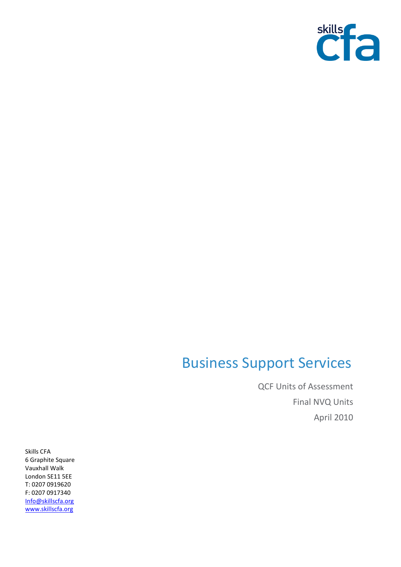

## Business Support Services

QCF Units of Assessment Final NVQ Units April 2010

Skills CFA 6 Graphite Square Vauxhall Walk London SE11 5EE T: 0207 0919620 F: 0207 0917340 [Info@skillscfa.org](mailto:Info@skillscfa.org) [www.skillscfa.org](http://www.skillscfa.org/)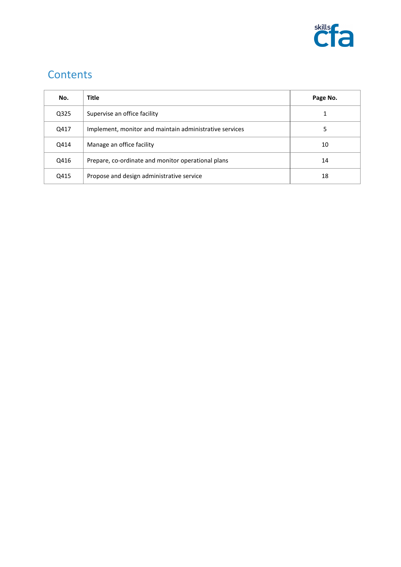

## **Contents**

| No.  | <b>Title</b>                                            | Page No. |
|------|---------------------------------------------------------|----------|
| Q325 | Supervise an office facility                            | 1        |
| Q417 | Implement, monitor and maintain administrative services | 5        |
| Q414 | Manage an office facility                               | 10       |
| Q416 | Prepare, co-ordinate and monitor operational plans      | 14       |
| Q415 | Propose and design administrative service               | 18       |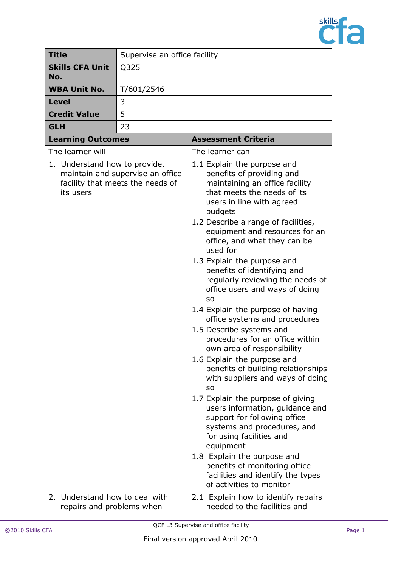

| <b>Title</b>                                                   | Supervise an office facility                                         |                                                                                                                                                                                                                                                                                                                                                                                                                                                                                                                                                                                                                                                                                                                                                                                                                                                                                                                                                                                                                                                        |
|----------------------------------------------------------------|----------------------------------------------------------------------|--------------------------------------------------------------------------------------------------------------------------------------------------------------------------------------------------------------------------------------------------------------------------------------------------------------------------------------------------------------------------------------------------------------------------------------------------------------------------------------------------------------------------------------------------------------------------------------------------------------------------------------------------------------------------------------------------------------------------------------------------------------------------------------------------------------------------------------------------------------------------------------------------------------------------------------------------------------------------------------------------------------------------------------------------------|
| <b>Skills CFA Unit</b><br>No.                                  | Q325                                                                 |                                                                                                                                                                                                                                                                                                                                                                                                                                                                                                                                                                                                                                                                                                                                                                                                                                                                                                                                                                                                                                                        |
| <b>WBA Unit No.</b>                                            | T/601/2546                                                           |                                                                                                                                                                                                                                                                                                                                                                                                                                                                                                                                                                                                                                                                                                                                                                                                                                                                                                                                                                                                                                                        |
| <b>Level</b>                                                   | 3                                                                    |                                                                                                                                                                                                                                                                                                                                                                                                                                                                                                                                                                                                                                                                                                                                                                                                                                                                                                                                                                                                                                                        |
| <b>Credit Value</b>                                            | 5                                                                    |                                                                                                                                                                                                                                                                                                                                                                                                                                                                                                                                                                                                                                                                                                                                                                                                                                                                                                                                                                                                                                                        |
| <b>GLH</b>                                                     | 23                                                                   |                                                                                                                                                                                                                                                                                                                                                                                                                                                                                                                                                                                                                                                                                                                                                                                                                                                                                                                                                                                                                                                        |
| <b>Learning Outcomes</b>                                       |                                                                      | <b>Assessment Criteria</b>                                                                                                                                                                                                                                                                                                                                                                                                                                                                                                                                                                                                                                                                                                                                                                                                                                                                                                                                                                                                                             |
| The learner will                                               |                                                                      | The learner can                                                                                                                                                                                                                                                                                                                                                                                                                                                                                                                                                                                                                                                                                                                                                                                                                                                                                                                                                                                                                                        |
| 1. Understand how to provide,<br>its users                     | maintain and supervise an office<br>facility that meets the needs of | 1.1 Explain the purpose and<br>benefits of providing and<br>maintaining an office facility<br>that meets the needs of its<br>users in line with agreed<br>budgets<br>1.2 Describe a range of facilities,<br>equipment and resources for an<br>office, and what they can be<br>used for<br>1.3 Explain the purpose and<br>benefits of identifying and<br>regularly reviewing the needs of<br>office users and ways of doing<br>S <sub>O</sub><br>1.4 Explain the purpose of having<br>office systems and procedures<br>1.5 Describe systems and<br>procedures for an office within<br>own area of responsibility<br>1.6 Explain the purpose and<br>benefits of building relationships<br>with suppliers and ways of doing<br><b>SO</b><br>1.7 Explain the purpose of giving<br>users information, guidance and<br>support for following office<br>systems and procedures, and<br>for using facilities and<br>equipment<br>1.8 Explain the purpose and<br>benefits of monitoring office<br>facilities and identify the types<br>of activities to monitor |
| Understand how to deal with<br>2.<br>repairs and problems when |                                                                      | 2.1 Explain how to identify repairs<br>needed to the facilities and                                                                                                                                                                                                                                                                                                                                                                                                                                                                                                                                                                                                                                                                                                                                                                                                                                                                                                                                                                                    |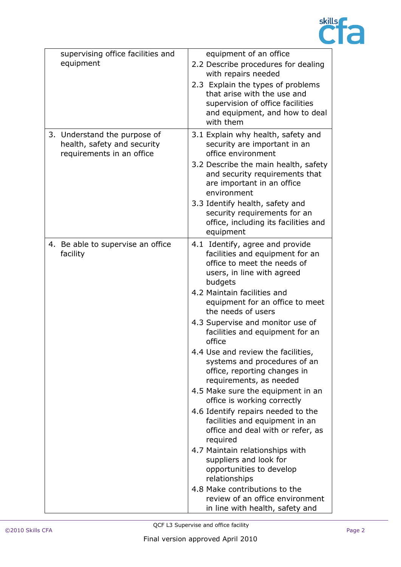

| supervising office facilities and                                                        | equipment of an office                                                                                                                                                                                                                                                                                                                                                                                                                                                                                                                                                                                                                            |
|------------------------------------------------------------------------------------------|---------------------------------------------------------------------------------------------------------------------------------------------------------------------------------------------------------------------------------------------------------------------------------------------------------------------------------------------------------------------------------------------------------------------------------------------------------------------------------------------------------------------------------------------------------------------------------------------------------------------------------------------------|
| equipment                                                                                | 2.2 Describe procedures for dealing<br>with repairs needed                                                                                                                                                                                                                                                                                                                                                                                                                                                                                                                                                                                        |
|                                                                                          | 2.3 Explain the types of problems<br>that arise with the use and<br>supervision of office facilities<br>and equipment, and how to deal<br>with them                                                                                                                                                                                                                                                                                                                                                                                                                                                                                               |
| 3. Understand the purpose of<br>health, safety and security<br>requirements in an office | 3.1 Explain why health, safety and<br>security are important in an<br>office environment<br>3.2 Describe the main health, safety<br>and security requirements that<br>are important in an office<br>environment<br>3.3 Identify health, safety and<br>security requirements for an<br>office, including its facilities and                                                                                                                                                                                                                                                                                                                        |
|                                                                                          | equipment                                                                                                                                                                                                                                                                                                                                                                                                                                                                                                                                                                                                                                         |
| 4. Be able to supervise an office<br>facility                                            | 4.1 Identify, agree and provide<br>facilities and equipment for an<br>office to meet the needs of<br>users, in line with agreed<br>budgets<br>4.2 Maintain facilities and<br>equipment for an office to meet<br>the needs of users<br>4.3 Supervise and monitor use of<br>facilities and equipment for an<br>office<br>4.4 Use and review the facilities,<br>systems and procedures of an<br>office, reporting changes in<br>requirements, as needed<br>4.5 Make sure the equipment in an<br>office is working correctly<br>4.6 Identify repairs needed to the<br>facilities and equipment in an<br>office and deal with or refer, as<br>required |
|                                                                                          | 4.7 Maintain relationships with<br>suppliers and look for<br>opportunities to develop<br>relationships                                                                                                                                                                                                                                                                                                                                                                                                                                                                                                                                            |
|                                                                                          | 4.8 Make contributions to the<br>review of an office environment<br>in line with health, safety and                                                                                                                                                                                                                                                                                                                                                                                                                                                                                                                                               |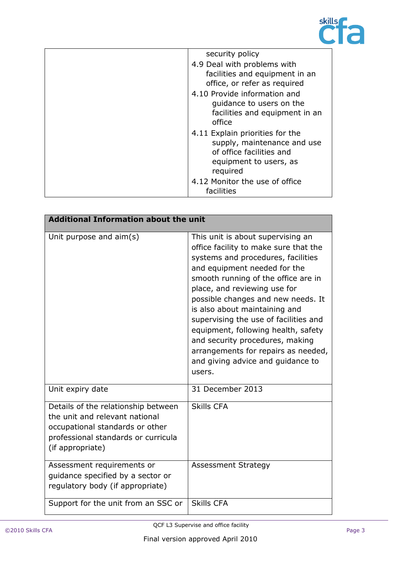

| security policy                                                                                                                  |
|----------------------------------------------------------------------------------------------------------------------------------|
| 4.9 Deal with problems with                                                                                                      |
| facilities and equipment in an                                                                                                   |
| office, or refer as required                                                                                                     |
| 4.10 Provide information and                                                                                                     |
| quidance to users on the                                                                                                         |
| facilities and equipment in an<br>office                                                                                         |
| 4.11 Explain priorities for the<br>supply, maintenance and use<br>of office facilities and<br>equipment to users, as<br>required |
| 4.12 Monitor the use of office<br>facilities                                                                                     |

| <b>Additional Information about the unit</b>                                                                                                                        |                                                                                                                                                                                                                                                                                                                                                                                                                                                                                                         |  |
|---------------------------------------------------------------------------------------------------------------------------------------------------------------------|---------------------------------------------------------------------------------------------------------------------------------------------------------------------------------------------------------------------------------------------------------------------------------------------------------------------------------------------------------------------------------------------------------------------------------------------------------------------------------------------------------|--|
| Unit purpose and $\text{aim}(s)$                                                                                                                                    | This unit is about supervising an<br>office facility to make sure that the<br>systems and procedures, facilities<br>and equipment needed for the<br>smooth running of the office are in<br>place, and reviewing use for<br>possible changes and new needs. It<br>is also about maintaining and<br>supervising the use of facilities and<br>equipment, following health, safety<br>and security procedures, making<br>arrangements for repairs as needed,<br>and giving advice and guidance to<br>users. |  |
| Unit expiry date                                                                                                                                                    | 31 December 2013                                                                                                                                                                                                                                                                                                                                                                                                                                                                                        |  |
| Details of the relationship between<br>the unit and relevant national<br>occupational standards or other<br>professional standards or curricula<br>(if appropriate) | <b>Skills CFA</b>                                                                                                                                                                                                                                                                                                                                                                                                                                                                                       |  |
| Assessment requirements or<br>guidance specified by a sector or<br>regulatory body (if appropriate)                                                                 | <b>Assessment Strategy</b>                                                                                                                                                                                                                                                                                                                                                                                                                                                                              |  |
| Support for the unit from an SSC or                                                                                                                                 | <b>Skills CFA</b>                                                                                                                                                                                                                                                                                                                                                                                                                                                                                       |  |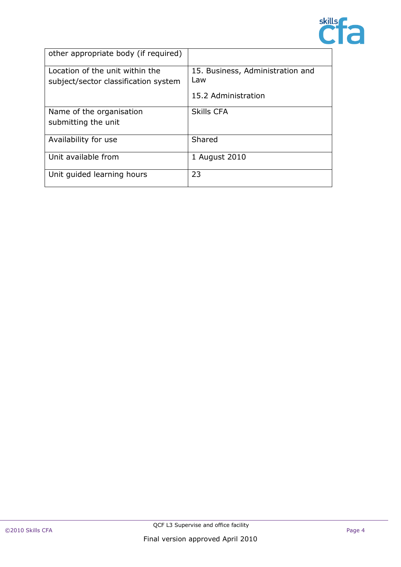

| other appropriate body (if required)                                    |                                         |
|-------------------------------------------------------------------------|-----------------------------------------|
| Location of the unit within the<br>subject/sector classification system | 15. Business, Administration and<br>Law |
|                                                                         | 15.2 Administration                     |
| Name of the organisation                                                | <b>Skills CFA</b>                       |
| submitting the unit                                                     |                                         |
| Availability for use                                                    | Shared                                  |
| Unit available from                                                     | 1 August 2010                           |
| Unit guided learning hours                                              | 23                                      |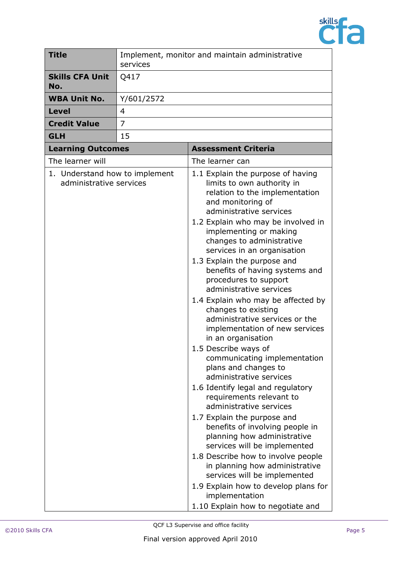

| <b>Title</b>                                              | services       | Implement, monitor and maintain administrative                                                                                                                                                                                                                                                                                                                                                                                                                                                                                                                                                                                                                                                                                                                                                                                                                                                                                                                                                                                                                                                           |
|-----------------------------------------------------------|----------------|----------------------------------------------------------------------------------------------------------------------------------------------------------------------------------------------------------------------------------------------------------------------------------------------------------------------------------------------------------------------------------------------------------------------------------------------------------------------------------------------------------------------------------------------------------------------------------------------------------------------------------------------------------------------------------------------------------------------------------------------------------------------------------------------------------------------------------------------------------------------------------------------------------------------------------------------------------------------------------------------------------------------------------------------------------------------------------------------------------|
| <b>Skills CFA Unit</b><br>No.                             | Q417           |                                                                                                                                                                                                                                                                                                                                                                                                                                                                                                                                                                                                                                                                                                                                                                                                                                                                                                                                                                                                                                                                                                          |
| <b>WBA Unit No.</b>                                       | Y/601/2572     |                                                                                                                                                                                                                                                                                                                                                                                                                                                                                                                                                                                                                                                                                                                                                                                                                                                                                                                                                                                                                                                                                                          |
| <b>Level</b>                                              | 4              |                                                                                                                                                                                                                                                                                                                                                                                                                                                                                                                                                                                                                                                                                                                                                                                                                                                                                                                                                                                                                                                                                                          |
| <b>Credit Value</b>                                       | $\overline{7}$ |                                                                                                                                                                                                                                                                                                                                                                                                                                                                                                                                                                                                                                                                                                                                                                                                                                                                                                                                                                                                                                                                                                          |
| <b>GLH</b>                                                | 15             |                                                                                                                                                                                                                                                                                                                                                                                                                                                                                                                                                                                                                                                                                                                                                                                                                                                                                                                                                                                                                                                                                                          |
| <b>Learning Outcomes</b>                                  |                | <b>Assessment Criteria</b>                                                                                                                                                                                                                                                                                                                                                                                                                                                                                                                                                                                                                                                                                                                                                                                                                                                                                                                                                                                                                                                                               |
| The learner will                                          |                | The learner can                                                                                                                                                                                                                                                                                                                                                                                                                                                                                                                                                                                                                                                                                                                                                                                                                                                                                                                                                                                                                                                                                          |
| 1. Understand how to implement<br>administrative services |                | 1.1 Explain the purpose of having<br>limits to own authority in<br>relation to the implementation<br>and monitoring of<br>administrative services<br>1.2 Explain who may be involved in<br>implementing or making<br>changes to administrative<br>services in an organisation<br>1.3 Explain the purpose and<br>benefits of having systems and<br>procedures to support<br>administrative services<br>1.4 Explain who may be affected by<br>changes to existing<br>administrative services or the<br>implementation of new services<br>in an organisation<br>1.5 Describe ways of<br>communicating implementation<br>plans and changes to<br>administrative services<br>1.6 Identify legal and regulatory<br>requirements relevant to<br>administrative services<br>1.7 Explain the purpose and<br>benefits of involving people in<br>planning how administrative<br>services will be implemented<br>1.8 Describe how to involve people<br>in planning how administrative<br>services will be implemented<br>1.9 Explain how to develop plans for<br>implementation<br>1.10 Explain how to negotiate and |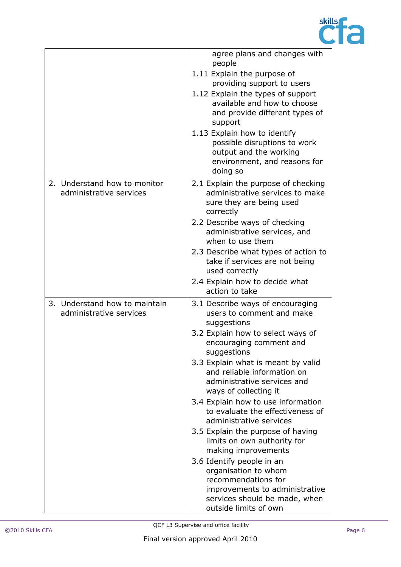

|                                                          | agree plans and changes with<br>people<br>1.11 Explain the purpose of<br>providing support to users<br>1.12 Explain the types of support<br>available and how to choose<br>and provide different types of<br>support<br>1.13 Explain how to identify<br>possible disruptions to work<br>output and the working<br>environment, and reasons for<br>doing so                                                                                                                                                                                                                                                                                                       |
|----------------------------------------------------------|------------------------------------------------------------------------------------------------------------------------------------------------------------------------------------------------------------------------------------------------------------------------------------------------------------------------------------------------------------------------------------------------------------------------------------------------------------------------------------------------------------------------------------------------------------------------------------------------------------------------------------------------------------------|
| 2. Understand how to monitor<br>administrative services  | 2.1 Explain the purpose of checking<br>administrative services to make<br>sure they are being used<br>correctly<br>2.2 Describe ways of checking<br>administrative services, and<br>when to use them<br>2.3 Describe what types of action to<br>take if services are not being<br>used correctly<br>2.4 Explain how to decide what<br>action to take                                                                                                                                                                                                                                                                                                             |
| 3. Understand how to maintain<br>administrative services | 3.1 Describe ways of encouraging<br>users to comment and make<br>suggestions<br>3.2 Explain how to select ways of<br>encouraging comment and<br>suggestions<br>3.3 Explain what is meant by valid<br>and reliable information on<br>administrative services and<br>ways of collecting it<br>3.4 Explain how to use information<br>to evaluate the effectiveness of<br>administrative services<br>3.5 Explain the purpose of having<br>limits on own authority for<br>making improvements<br>3.6 Identify people in an<br>organisation to whom<br>recommendations for<br>improvements to administrative<br>services should be made, when<br>outside limits of own |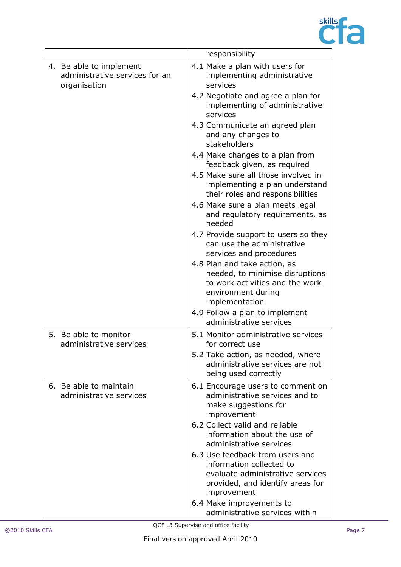

|                                                                           | responsibility                                                                                                                                     |
|---------------------------------------------------------------------------|----------------------------------------------------------------------------------------------------------------------------------------------------|
| 4. Be able to implement<br>administrative services for an<br>organisation | 4.1 Make a plan with users for<br>implementing administrative<br>services                                                                          |
|                                                                           | 4.2 Negotiate and agree a plan for<br>implementing of administrative<br>services                                                                   |
|                                                                           | 4.3 Communicate an agreed plan<br>and any changes to<br>stakeholders                                                                               |
|                                                                           | 4.4 Make changes to a plan from<br>feedback given, as required                                                                                     |
|                                                                           | 4.5 Make sure all those involved in<br>implementing a plan understand<br>their roles and responsibilities                                          |
|                                                                           | 4.6 Make sure a plan meets legal<br>and regulatory requirements, as<br>needed                                                                      |
|                                                                           | 4.7 Provide support to users so they<br>can use the administrative<br>services and procedures                                                      |
|                                                                           | 4.8 Plan and take action, as<br>needed, to minimise disruptions<br>to work activities and the work<br>environment during<br>implementation         |
|                                                                           | 4.9 Follow a plan to implement<br>administrative services                                                                                          |
| 5. Be able to monitor<br>administrative services                          | 5.1 Monitor administrative services<br>for correct use                                                                                             |
|                                                                           | 5.2 Take action, as needed, where<br>administrative services are not<br>being used correctly                                                       |
| 6. Be able to maintain<br>administrative services                         | 6.1 Encourage users to comment on<br>administrative services and to<br>make suggestions for<br>improvement                                         |
|                                                                           | 6.2 Collect valid and reliable<br>information about the use of<br>administrative services                                                          |
|                                                                           | 6.3 Use feedback from users and<br>information collected to<br>evaluate administrative services<br>provided, and identify areas for<br>improvement |
|                                                                           | 6.4 Make improvements to<br>administrative services within                                                                                         |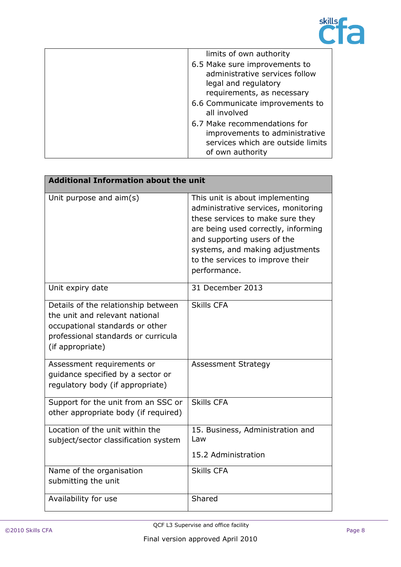

| limits of own authority                                                                                                 |
|-------------------------------------------------------------------------------------------------------------------------|
| 6.5 Make sure improvements to<br>administrative services follow<br>legal and regulatory<br>requirements, as necessary   |
| 6.6 Communicate improvements to<br>all involved                                                                         |
| 6.7 Make recommendations for<br>improvements to administrative<br>services which are outside limits<br>of own authority |

| <b>Additional Information about the unit</b>                                                                                                                        |                                                                                                                                                                                                                                                                         |  |
|---------------------------------------------------------------------------------------------------------------------------------------------------------------------|-------------------------------------------------------------------------------------------------------------------------------------------------------------------------------------------------------------------------------------------------------------------------|--|
| Unit purpose and aim(s)                                                                                                                                             | This unit is about implementing<br>administrative services, monitoring<br>these services to make sure they<br>are being used correctly, informing<br>and supporting users of the<br>systems, and making adjustments<br>to the services to improve their<br>performance. |  |
| Unit expiry date                                                                                                                                                    | 31 December 2013                                                                                                                                                                                                                                                        |  |
| Details of the relationship between<br>the unit and relevant national<br>occupational standards or other<br>professional standards or curricula<br>(if appropriate) | <b>Skills CFA</b>                                                                                                                                                                                                                                                       |  |
| Assessment requirements or<br>quidance specified by a sector or<br>regulatory body (if appropriate)                                                                 | <b>Assessment Strategy</b>                                                                                                                                                                                                                                              |  |
| Support for the unit from an SSC or<br>other appropriate body (if required)                                                                                         | <b>Skills CFA</b>                                                                                                                                                                                                                                                       |  |
| Location of the unit within the<br>subject/sector classification system                                                                                             | 15. Business, Administration and<br>Law<br>15.2 Administration                                                                                                                                                                                                          |  |
| Name of the organisation<br>submitting the unit                                                                                                                     | <b>Skills CFA</b>                                                                                                                                                                                                                                                       |  |
| Availability for use                                                                                                                                                | Shared                                                                                                                                                                                                                                                                  |  |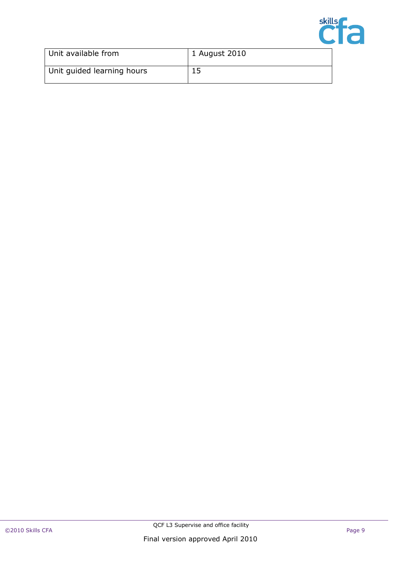

| Unit available from        | 1 August 2010 |
|----------------------------|---------------|
| Unit guided learning hours |               |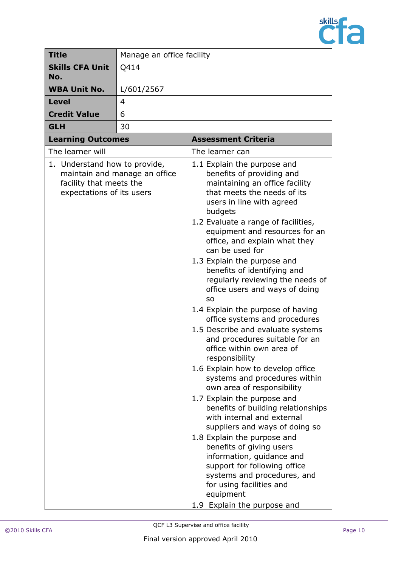

| <b>Title</b>                                                                          | Manage an office facility     |                                                                                                                                                                                                                                                                                                                                                                                                                                                                                                                                                                                                                                                                                                                                                                                                                                                                                                                                                                                                                                                                                                                     |
|---------------------------------------------------------------------------------------|-------------------------------|---------------------------------------------------------------------------------------------------------------------------------------------------------------------------------------------------------------------------------------------------------------------------------------------------------------------------------------------------------------------------------------------------------------------------------------------------------------------------------------------------------------------------------------------------------------------------------------------------------------------------------------------------------------------------------------------------------------------------------------------------------------------------------------------------------------------------------------------------------------------------------------------------------------------------------------------------------------------------------------------------------------------------------------------------------------------------------------------------------------------|
| <b>Skills CFA Unit</b><br>No.                                                         | Q414                          |                                                                                                                                                                                                                                                                                                                                                                                                                                                                                                                                                                                                                                                                                                                                                                                                                                                                                                                                                                                                                                                                                                                     |
| <b>WBA Unit No.</b>                                                                   | L/601/2567                    |                                                                                                                                                                                                                                                                                                                                                                                                                                                                                                                                                                                                                                                                                                                                                                                                                                                                                                                                                                                                                                                                                                                     |
| <b>Level</b>                                                                          | 4                             |                                                                                                                                                                                                                                                                                                                                                                                                                                                                                                                                                                                                                                                                                                                                                                                                                                                                                                                                                                                                                                                                                                                     |
| <b>Credit Value</b>                                                                   | 6                             |                                                                                                                                                                                                                                                                                                                                                                                                                                                                                                                                                                                                                                                                                                                                                                                                                                                                                                                                                                                                                                                                                                                     |
| <b>GLH</b>                                                                            | 30                            |                                                                                                                                                                                                                                                                                                                                                                                                                                                                                                                                                                                                                                                                                                                                                                                                                                                                                                                                                                                                                                                                                                                     |
| <b>Learning Outcomes</b>                                                              |                               | <b>Assessment Criteria</b>                                                                                                                                                                                                                                                                                                                                                                                                                                                                                                                                                                                                                                                                                                                                                                                                                                                                                                                                                                                                                                                                                          |
| The learner will                                                                      |                               | The learner can                                                                                                                                                                                                                                                                                                                                                                                                                                                                                                                                                                                                                                                                                                                                                                                                                                                                                                                                                                                                                                                                                                     |
| 1. Understand how to provide,<br>facility that meets the<br>expectations of its users | maintain and manage an office | 1.1 Explain the purpose and<br>benefits of providing and<br>maintaining an office facility<br>that meets the needs of its<br>users in line with agreed<br>budgets<br>1.2 Evaluate a range of facilities,<br>equipment and resources for an<br>office, and explain what they<br>can be used for<br>1.3 Explain the purpose and<br>benefits of identifying and<br>regularly reviewing the needs of<br>office users and ways of doing<br><b>SO</b><br>1.4 Explain the purpose of having<br>office systems and procedures<br>1.5 Describe and evaluate systems<br>and procedures suitable for an<br>office within own area of<br>responsibility<br>1.6 Explain how to develop office<br>systems and procedures within<br>own area of responsibility<br>1.7 Explain the purpose and<br>benefits of building relationships<br>with internal and external<br>suppliers and ways of doing so<br>1.8 Explain the purpose and<br>benefits of giving users<br>information, guidance and<br>support for following office<br>systems and procedures, and<br>for using facilities and<br>equipment<br>1.9 Explain the purpose and |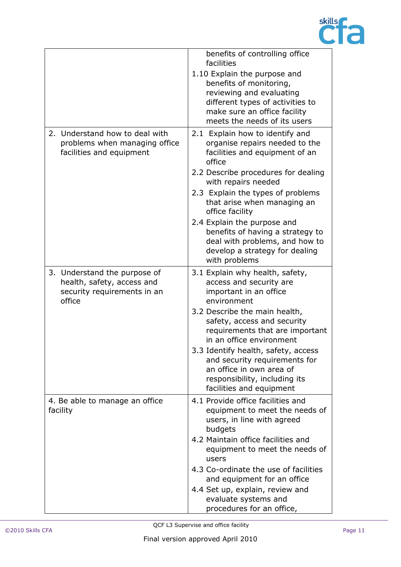

|                                                                 | benefits of controlling office                                     |
|-----------------------------------------------------------------|--------------------------------------------------------------------|
|                                                                 | facilities                                                         |
|                                                                 | 1.10 Explain the purpose and                                       |
|                                                                 | benefits of monitoring,                                            |
|                                                                 | reviewing and evaluating                                           |
|                                                                 | different types of activities to                                   |
|                                                                 | make sure an office facility                                       |
|                                                                 | meets the needs of its users                                       |
| 2. Understand how to deal with<br>problems when managing office | 2.1 Explain how to identify and<br>organise repairs needed to the  |
| facilities and equipment                                        | facilities and equipment of an<br>office                           |
|                                                                 | 2.2 Describe procedures for dealing                                |
|                                                                 | with repairs needed                                                |
|                                                                 | 2.3 Explain the types of problems                                  |
|                                                                 | that arise when managing an<br>office facility                     |
|                                                                 | 2.4 Explain the purpose and                                        |
|                                                                 | benefits of having a strategy to<br>deal with problems, and how to |
|                                                                 | develop a strategy for dealing                                     |
|                                                                 | with problems                                                      |
| 3. Understand the purpose of                                    | 3.1 Explain why health, safety,                                    |
| health, safety, access and                                      | access and security are                                            |
| security requirements in an                                     | important in an office                                             |
| office                                                          | environment                                                        |
|                                                                 | 3.2 Describe the main health,                                      |
|                                                                 | safety, access and security                                        |
|                                                                 | requirements that are important<br>in an office environment        |
|                                                                 | 3.3 Identify health, safety, access                                |
|                                                                 | and security requirements for                                      |
|                                                                 | an office in own area of                                           |
|                                                                 | responsibility, including its                                      |
|                                                                 | facilities and equipment                                           |
| 4. Be able to manage an office                                  | 4.1 Provide office facilities and                                  |
| facility                                                        | equipment to meet the needs of                                     |
|                                                                 | users, in line with agreed                                         |
|                                                                 | budgets                                                            |
|                                                                 | 4.2 Maintain office facilities and                                 |
|                                                                 | equipment to meet the needs of<br>users                            |
|                                                                 | 4.3 Co-ordinate the use of facilities                              |
|                                                                 | and equipment for an office                                        |
|                                                                 | 4.4 Set up, explain, review and                                    |
|                                                                 | evaluate systems and                                               |
|                                                                 | procedures for an office,                                          |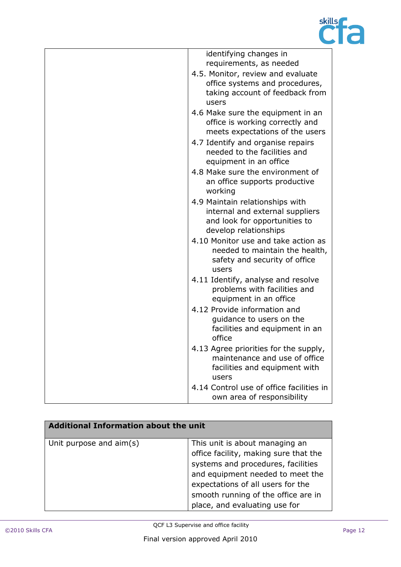

| identifying changes in                                                                                                       |
|------------------------------------------------------------------------------------------------------------------------------|
| requirements, as needed                                                                                                      |
| 4.5. Monitor, review and evaluate<br>office systems and procedures,<br>taking account of feedback from<br>users              |
| 4.6 Make sure the equipment in an<br>office is working correctly and<br>meets expectations of the users                      |
| 4.7 Identify and organise repairs<br>needed to the facilities and<br>equipment in an office                                  |
| 4.8 Make sure the environment of<br>an office supports productive<br>working                                                 |
| 4.9 Maintain relationships with<br>internal and external suppliers<br>and look for opportunities to<br>develop relationships |
| 4.10 Monitor use and take action as<br>needed to maintain the health,<br>safety and security of office<br>users              |
| 4.11 Identify, analyse and resolve<br>problems with facilities and<br>equipment in an office                                 |
| 4.12 Provide information and<br>guidance to users on the<br>facilities and equipment in an<br>office                         |
| 4.13 Agree priorities for the supply,<br>maintenance and use of office<br>facilities and equipment with<br>users             |
| 4.14 Control use of office facilities in<br>own area of responsibility                                                       |

| <b>Additional Information about the unit</b> |                                                                                                                                                                                                                                                                |  |
|----------------------------------------------|----------------------------------------------------------------------------------------------------------------------------------------------------------------------------------------------------------------------------------------------------------------|--|
| Unit purpose and aim(s)                      | This unit is about managing an<br>office facility, making sure that the<br>systems and procedures, facilities<br>and equipment needed to meet the<br>expectations of all users for the<br>smooth running of the office are in<br>place, and evaluating use for |  |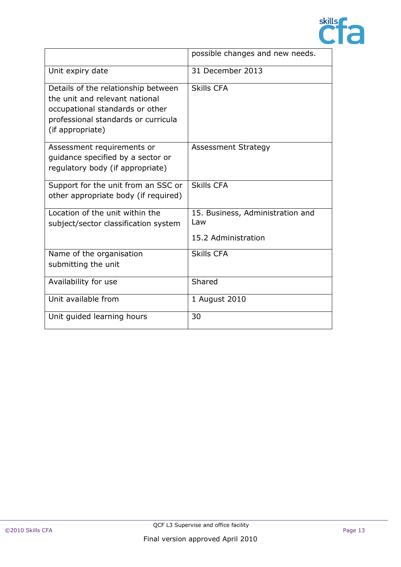

|                                                                                                                                                                     | possible changes and new needs.                                |
|---------------------------------------------------------------------------------------------------------------------------------------------------------------------|----------------------------------------------------------------|
| Unit expiry date                                                                                                                                                    | 31 December 2013                                               |
| Details of the relationship between<br>the unit and relevant national<br>occupational standards or other<br>professional standards or curricula<br>(if appropriate) | <b>Skills CFA</b>                                              |
| Assessment requirements or<br>quidance specified by a sector or<br>regulatory body (if appropriate)                                                                 | <b>Assessment Strategy</b>                                     |
| Support for the unit from an SSC or<br>other appropriate body (if required)                                                                                         | <b>Skills CFA</b>                                              |
| Location of the unit within the<br>subject/sector classification system                                                                                             | 15. Business, Administration and<br>Law<br>15.2 Administration |
| Name of the organisation<br>submitting the unit                                                                                                                     | <b>Skills CFA</b>                                              |
| Availability for use                                                                                                                                                | Shared                                                         |
| Unit available from                                                                                                                                                 | 1 August 2010                                                  |
| Unit guided learning hours                                                                                                                                          | 30                                                             |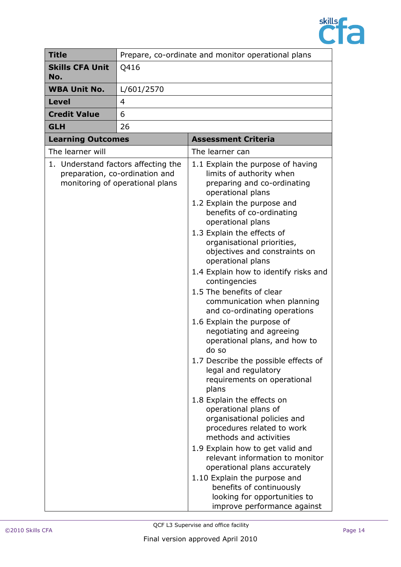

| <b>Title</b>                        | Prepare, co-ordinate and monitor operational plans<br>Q416        |                                                                                                                                                                                                                                                                                                                                                                                                                                                                                                                                                                                                                                                                                                                                                                                                                                                                                                                                                                                                                                                                        |
|-------------------------------------|-------------------------------------------------------------------|------------------------------------------------------------------------------------------------------------------------------------------------------------------------------------------------------------------------------------------------------------------------------------------------------------------------------------------------------------------------------------------------------------------------------------------------------------------------------------------------------------------------------------------------------------------------------------------------------------------------------------------------------------------------------------------------------------------------------------------------------------------------------------------------------------------------------------------------------------------------------------------------------------------------------------------------------------------------------------------------------------------------------------------------------------------------|
| <b>Skills CFA Unit</b><br>No.       |                                                                   |                                                                                                                                                                                                                                                                                                                                                                                                                                                                                                                                                                                                                                                                                                                                                                                                                                                                                                                                                                                                                                                                        |
| <b>WBA Unit No.</b>                 | L/601/2570                                                        |                                                                                                                                                                                                                                                                                                                                                                                                                                                                                                                                                                                                                                                                                                                                                                                                                                                                                                                                                                                                                                                                        |
| <b>Level</b>                        | $\overline{4}$                                                    |                                                                                                                                                                                                                                                                                                                                                                                                                                                                                                                                                                                                                                                                                                                                                                                                                                                                                                                                                                                                                                                                        |
| <b>Credit Value</b>                 | 6                                                                 |                                                                                                                                                                                                                                                                                                                                                                                                                                                                                                                                                                                                                                                                                                                                                                                                                                                                                                                                                                                                                                                                        |
| <b>GLH</b>                          | 26                                                                |                                                                                                                                                                                                                                                                                                                                                                                                                                                                                                                                                                                                                                                                                                                                                                                                                                                                                                                                                                                                                                                                        |
| <b>Learning Outcomes</b>            |                                                                   | <b>Assessment Criteria</b>                                                                                                                                                                                                                                                                                                                                                                                                                                                                                                                                                                                                                                                                                                                                                                                                                                                                                                                                                                                                                                             |
| The learner will                    |                                                                   | The learner can                                                                                                                                                                                                                                                                                                                                                                                                                                                                                                                                                                                                                                                                                                                                                                                                                                                                                                                                                                                                                                                        |
| 1. Understand factors affecting the | preparation, co-ordination and<br>monitoring of operational plans | 1.1 Explain the purpose of having<br>limits of authority when<br>preparing and co-ordinating<br>operational plans<br>1.2 Explain the purpose and<br>benefits of co-ordinating<br>operational plans<br>1.3 Explain the effects of<br>organisational priorities,<br>objectives and constraints on<br>operational plans<br>1.4 Explain how to identify risks and<br>contingencies<br>1.5 The benefits of clear<br>communication when planning<br>and co-ordinating operations<br>1.6 Explain the purpose of<br>negotiating and agreeing<br>operational plans, and how to<br>do sol<br>1.7 Describe the possible effects of<br>legal and regulatory<br>requirements on operational<br>plans<br>1.8 Explain the effects on<br>operational plans of<br>organisational policies and<br>procedures related to work<br>methods and activities<br>1.9 Explain how to get valid and<br>relevant information to monitor<br>operational plans accurately<br>1.10 Explain the purpose and<br>benefits of continuously<br>looking for opportunities to<br>improve performance against |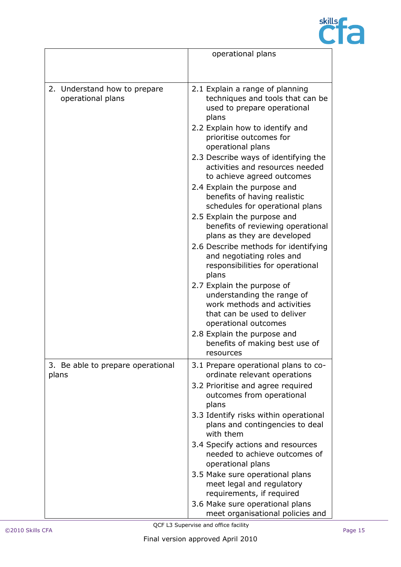

|                                                   | operational plans                                                                                                                                                                                                                                                                                                                                                                                                                                                                                                                                                                                                                                            |
|---------------------------------------------------|--------------------------------------------------------------------------------------------------------------------------------------------------------------------------------------------------------------------------------------------------------------------------------------------------------------------------------------------------------------------------------------------------------------------------------------------------------------------------------------------------------------------------------------------------------------------------------------------------------------------------------------------------------------|
|                                                   |                                                                                                                                                                                                                                                                                                                                                                                                                                                                                                                                                                                                                                                              |
| 2. Understand how to prepare<br>operational plans | 2.1 Explain a range of planning<br>techniques and tools that can be<br>used to prepare operational<br>plans<br>2.2 Explain how to identify and<br>prioritise outcomes for<br>operational plans<br>2.3 Describe ways of identifying the<br>activities and resources needed<br>to achieve agreed outcomes<br>2.4 Explain the purpose and<br>benefits of having realistic<br>schedules for operational plans<br>2.5 Explain the purpose and<br>benefits of reviewing operational<br>plans as they are developed<br>2.6 Describe methods for identifying<br>and negotiating roles and<br>responsibilities for operational<br>plans<br>2.7 Explain the purpose of |
|                                                   | understanding the range of<br>work methods and activities<br>that can be used to deliver<br>operational outcomes                                                                                                                                                                                                                                                                                                                                                                                                                                                                                                                                             |
|                                                   | 2.8 Explain the purpose and<br>benefits of making best use of<br>resources                                                                                                                                                                                                                                                                                                                                                                                                                                                                                                                                                                                   |
| 3. Be able to prepare operational<br>plans        | 3.1 Prepare operational plans to co-<br>ordinate relevant operations                                                                                                                                                                                                                                                                                                                                                                                                                                                                                                                                                                                         |
|                                                   | 3.2 Prioritise and agree required<br>outcomes from operational<br>plans                                                                                                                                                                                                                                                                                                                                                                                                                                                                                                                                                                                      |
|                                                   | 3.3 Identify risks within operational<br>plans and contingencies to deal<br>with them                                                                                                                                                                                                                                                                                                                                                                                                                                                                                                                                                                        |
|                                                   | 3.4 Specify actions and resources<br>needed to achieve outcomes of<br>operational plans                                                                                                                                                                                                                                                                                                                                                                                                                                                                                                                                                                      |
|                                                   | 3.5 Make sure operational plans<br>meet legal and regulatory<br>requirements, if required                                                                                                                                                                                                                                                                                                                                                                                                                                                                                                                                                                    |
|                                                   | 3.6 Make sure operational plans<br>meet organisational policies and                                                                                                                                                                                                                                                                                                                                                                                                                                                                                                                                                                                          |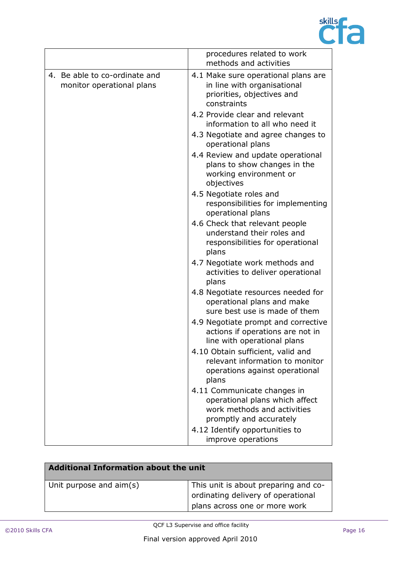

|                                                            | procedures related to work<br>methods and activities                                                                    |
|------------------------------------------------------------|-------------------------------------------------------------------------------------------------------------------------|
| 4. Be able to co-ordinate and<br>monitor operational plans | 4.1 Make sure operational plans are<br>in line with organisational<br>priorities, objectives and<br>constraints         |
|                                                            | 4.2 Provide clear and relevant<br>information to all who need it                                                        |
|                                                            | 4.3 Negotiate and agree changes to<br>operational plans                                                                 |
|                                                            | 4.4 Review and update operational<br>plans to show changes in the<br>working environment or<br>objectives               |
|                                                            | 4.5 Negotiate roles and<br>responsibilities for implementing<br>operational plans                                       |
|                                                            | 4.6 Check that relevant people<br>understand their roles and<br>responsibilities for operational<br>plans               |
|                                                            | 4.7 Negotiate work methods and<br>activities to deliver operational<br>plans                                            |
|                                                            | 4.8 Negotiate resources needed for<br>operational plans and make<br>sure best use is made of them                       |
|                                                            | 4.9 Negotiate prompt and corrective<br>actions if operations are not in<br>line with operational plans                  |
|                                                            | 4.10 Obtain sufficient, valid and<br>relevant information to monitor<br>operations against operational<br>plans         |
|                                                            | 4.11 Communicate changes in<br>operational plans which affect<br>work methods and activities<br>promptly and accurately |
|                                                            | 4.12 Identify opportunities to<br>improve operations                                                                    |

| Additional Information about the unit |                                                                                                             |  |
|---------------------------------------|-------------------------------------------------------------------------------------------------------------|--|
| Unit purpose and aim(s)               | This unit is about preparing and co-<br>ordinating delivery of operational<br>plans across one or more work |  |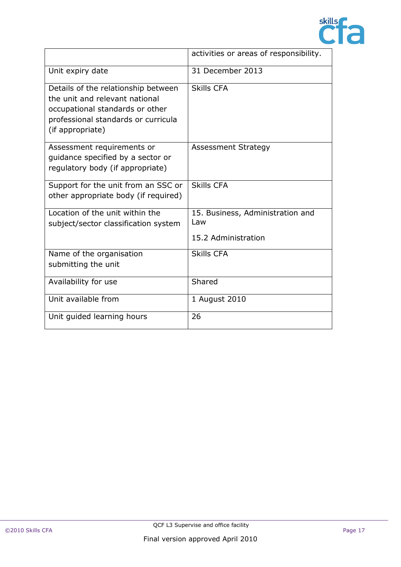

|                                                                                                                                                                     | activities or areas of responsibility.                         |
|---------------------------------------------------------------------------------------------------------------------------------------------------------------------|----------------------------------------------------------------|
| Unit expiry date                                                                                                                                                    | 31 December 2013                                               |
| Details of the relationship between<br>the unit and relevant national<br>occupational standards or other<br>professional standards or curricula<br>(if appropriate) | <b>Skills CFA</b>                                              |
| Assessment requirements or<br>quidance specified by a sector or<br>regulatory body (if appropriate)                                                                 | <b>Assessment Strategy</b>                                     |
| Support for the unit from an SSC or<br>other appropriate body (if required)                                                                                         | <b>Skills CFA</b>                                              |
| Location of the unit within the<br>subject/sector classification system                                                                                             | 15. Business, Administration and<br>Law<br>15.2 Administration |
| Name of the organisation<br>submitting the unit                                                                                                                     | <b>Skills CFA</b>                                              |
| Availability for use                                                                                                                                                | Shared                                                         |
| Unit available from                                                                                                                                                 | 1 August 2010                                                  |
| Unit guided learning hours                                                                                                                                          | 26                                                             |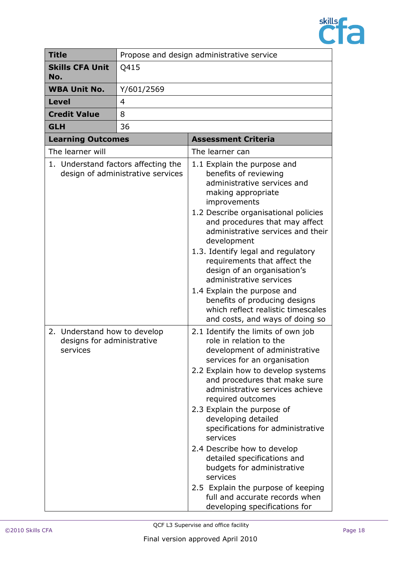

| <b>Title</b>                                                           | Propose and design administrative service |                                                                                                                                                                                                                                                                                                                                                                                                                                                                                                                                                                                      |
|------------------------------------------------------------------------|-------------------------------------------|--------------------------------------------------------------------------------------------------------------------------------------------------------------------------------------------------------------------------------------------------------------------------------------------------------------------------------------------------------------------------------------------------------------------------------------------------------------------------------------------------------------------------------------------------------------------------------------|
| <b>Skills CFA Unit</b><br>No.                                          | Q415                                      |                                                                                                                                                                                                                                                                                                                                                                                                                                                                                                                                                                                      |
| <b>WBA Unit No.</b>                                                    | Y/601/2569                                |                                                                                                                                                                                                                                                                                                                                                                                                                                                                                                                                                                                      |
| <b>Level</b>                                                           | 4                                         |                                                                                                                                                                                                                                                                                                                                                                                                                                                                                                                                                                                      |
| <b>Credit Value</b>                                                    | 8                                         |                                                                                                                                                                                                                                                                                                                                                                                                                                                                                                                                                                                      |
| <b>GLH</b>                                                             | 36                                        |                                                                                                                                                                                                                                                                                                                                                                                                                                                                                                                                                                                      |
| <b>Learning Outcomes</b>                                               |                                           | <b>Assessment Criteria</b>                                                                                                                                                                                                                                                                                                                                                                                                                                                                                                                                                           |
| The learner will                                                       |                                           | The learner can                                                                                                                                                                                                                                                                                                                                                                                                                                                                                                                                                                      |
| 1. Understand factors affecting the                                    | design of administrative services         | 1.1 Explain the purpose and<br>benefits of reviewing<br>administrative services and<br>making appropriate<br>improvements<br>1.2 Describe organisational policies<br>and procedures that may affect<br>administrative services and their<br>development<br>1.3. Identify legal and regulatory<br>requirements that affect the<br>design of an organisation's<br>administrative services<br>1.4 Explain the purpose and<br>benefits of producing designs<br>which reflect realistic timescales<br>and costs, and ways of doing so                                                     |
| 2. Understand how to develop<br>designs for administrative<br>services |                                           | 2.1 Identify the limits of own job<br>role in relation to the<br>development of administrative<br>services for an organisation<br>2.2 Explain how to develop systems<br>and procedures that make sure<br>administrative services achieve<br>required outcomes<br>2.3 Explain the purpose of<br>developing detailed<br>specifications for administrative<br>services<br>2.4 Describe how to develop<br>detailed specifications and<br>budgets for administrative<br>services<br>2.5 Explain the purpose of keeping<br>full and accurate records when<br>developing specifications for |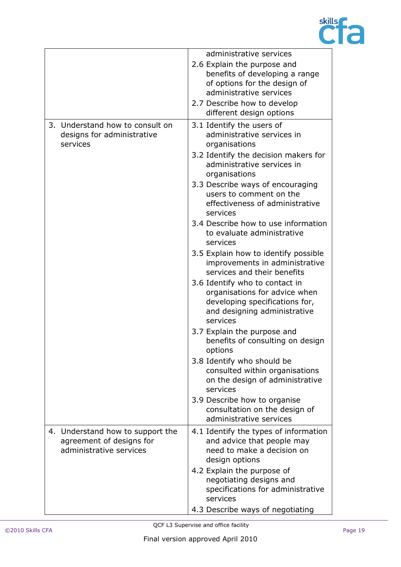

|                                                                                         | administrative services                                                                                                                       |
|-----------------------------------------------------------------------------------------|-----------------------------------------------------------------------------------------------------------------------------------------------|
|                                                                                         | 2.6 Explain the purpose and<br>benefits of developing a range<br>of options for the design of                                                 |
|                                                                                         | administrative services                                                                                                                       |
|                                                                                         | 2.7 Describe how to develop<br>different design options                                                                                       |
| 3. Understand how to consult on<br>designs for administrative<br>services               | 3.1 Identify the users of<br>administrative services in<br>organisations                                                                      |
|                                                                                         | 3.2 Identify the decision makers for<br>administrative services in<br>organisations                                                           |
|                                                                                         | 3.3 Describe ways of encouraging<br>users to comment on the<br>effectiveness of administrative<br>services                                    |
|                                                                                         | 3.4 Describe how to use information<br>to evaluate administrative<br>services                                                                 |
|                                                                                         | 3.5 Explain how to identify possible<br>improvements in administrative<br>services and their benefits                                         |
|                                                                                         | 3.6 Identify who to contact in<br>organisations for advice when<br>developing specifications for,<br>and designing administrative<br>services |
|                                                                                         | 3.7 Explain the purpose and<br>benefits of consulting on design<br>options                                                                    |
|                                                                                         | 3.8 Identify who should be<br>consulted within organisations<br>on the design of administrative<br>services                                   |
|                                                                                         | 3.9 Describe how to organise<br>consultation on the design of<br>administrative services                                                      |
| 4. Understand how to support the<br>agreement of designs for<br>administrative services | 4.1 Identify the types of information<br>and advice that people may<br>need to make a decision on<br>design options                           |
|                                                                                         | 4.2 Explain the purpose of<br>negotiating designs and<br>specifications for administrative<br>services                                        |
|                                                                                         | 4.3 Describe ways of negotiating                                                                                                              |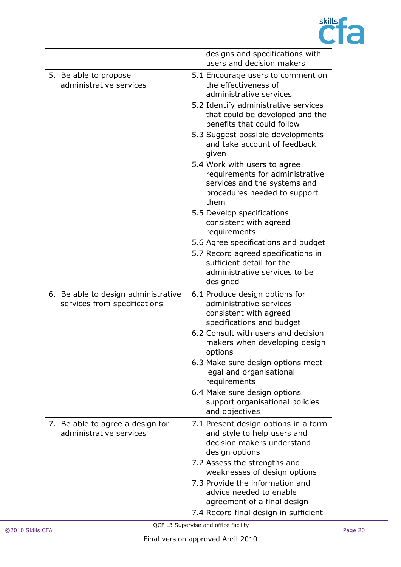

|                                                                     | designs and specifications with<br>users and decision makers                                                                                         |
|---------------------------------------------------------------------|------------------------------------------------------------------------------------------------------------------------------------------------------|
| 5. Be able to propose<br>administrative services                    | 5.1 Encourage users to comment on<br>the effectiveness of<br>administrative services                                                                 |
|                                                                     | 5.2 Identify administrative services<br>that could be developed and the<br>benefits that could follow                                                |
|                                                                     | 5.3 Suggest possible developments<br>and take account of feedback<br>given                                                                           |
|                                                                     | 5.4 Work with users to agree<br>requirements for administrative<br>services and the systems and<br>procedures needed to support<br>them              |
|                                                                     | 5.5 Develop specifications<br>consistent with agreed<br>requirements                                                                                 |
|                                                                     | 5.6 Agree specifications and budget<br>5.7 Record agreed specifications in<br>sufficient detail for the<br>administrative services to be<br>designed |
| 6. Be able to design administrative<br>services from specifications | 6.1 Produce design options for<br>administrative services<br>consistent with agreed<br>specifications and budget                                     |
|                                                                     | 6.2 Consult with users and decision<br>makers when developing design<br>options                                                                      |
|                                                                     | 6.3 Make sure design options meet<br>legal and organisational<br>requirements                                                                        |
|                                                                     | 6.4 Make sure design options<br>support organisational policies<br>and objectives                                                                    |
| 7. Be able to agree a design for<br>administrative services         | 7.1 Present design options in a form<br>and style to help users and<br>decision makers understand<br>design options                                  |
|                                                                     | 7.2 Assess the strengths and<br>weaknesses of design options                                                                                         |
|                                                                     | 7.3 Provide the information and<br>advice needed to enable<br>agreement of a final design                                                            |
|                                                                     | 7.4 Record final design in sufficient                                                                                                                |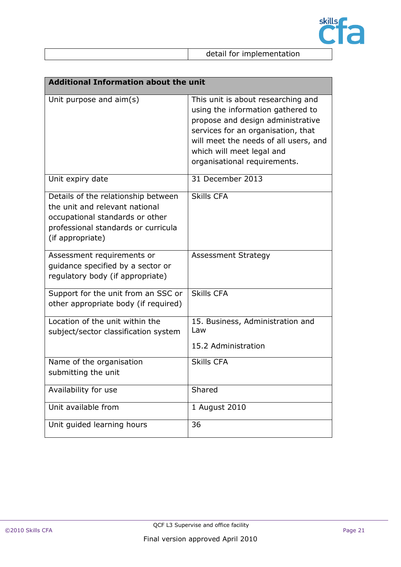

detail for implementation

| <b>Additional Information about the unit</b>                                                                                                                        |                                                                                                                                                                                                                                                          |  |
|---------------------------------------------------------------------------------------------------------------------------------------------------------------------|----------------------------------------------------------------------------------------------------------------------------------------------------------------------------------------------------------------------------------------------------------|--|
| Unit purpose and $aim(s)$                                                                                                                                           | This unit is about researching and<br>using the information gathered to<br>propose and design administrative<br>services for an organisation, that<br>will meet the needs of all users, and<br>which will meet legal and<br>organisational requirements. |  |
| Unit expiry date                                                                                                                                                    | 31 December 2013                                                                                                                                                                                                                                         |  |
| Details of the relationship between<br>the unit and relevant national<br>occupational standards or other<br>professional standards or curricula<br>(if appropriate) | <b>Skills CFA</b>                                                                                                                                                                                                                                        |  |
| Assessment requirements or<br>guidance specified by a sector or<br>regulatory body (if appropriate)                                                                 | <b>Assessment Strategy</b>                                                                                                                                                                                                                               |  |
| Support for the unit from an SSC or<br>other appropriate body (if required)                                                                                         | <b>Skills CFA</b>                                                                                                                                                                                                                                        |  |
| Location of the unit within the<br>subject/sector classification system                                                                                             | 15. Business, Administration and<br>Law<br>15.2 Administration                                                                                                                                                                                           |  |
| Name of the organisation<br>submitting the unit                                                                                                                     | <b>Skills CFA</b>                                                                                                                                                                                                                                        |  |
| Availability for use                                                                                                                                                | Shared                                                                                                                                                                                                                                                   |  |
| Unit available from                                                                                                                                                 | 1 August 2010                                                                                                                                                                                                                                            |  |
| Unit guided learning hours                                                                                                                                          | 36                                                                                                                                                                                                                                                       |  |